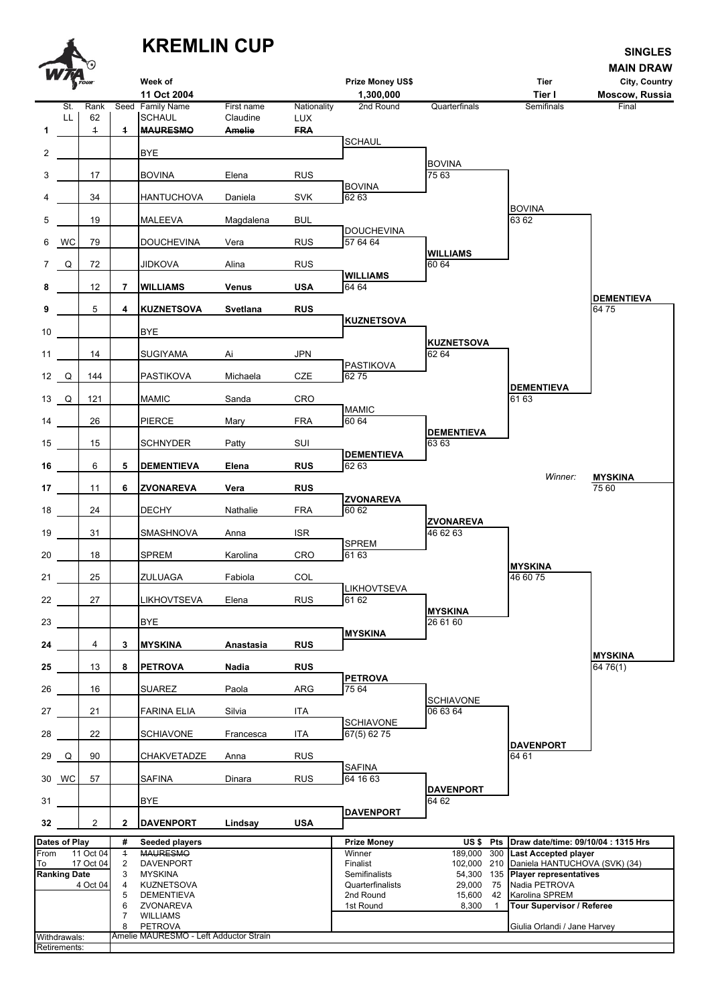**KREMLIN CUP** SINGLES **MAIN DRAW Week of Prize Money US\$ Tier City, Country 11 Oct 2004 1,300,000 Tier I Moscow, Russia** St. Rank Seed Family Name First name Nationality 2nd Round Quarterfinals Semifinals Final LL 62 SCHAUL Claudine LUX **1** DA 1 **1 MAURESMO Amelie FRA** Umpire*as* SCHAUL 2 | BYE **BOVINA** 3 | 17 | BOVINA Elena RUS | 75 63 S ALENKAER*as* BOVINA 4 | 34 | HANTUCHOVA Daniela SVK 62 63 BOVINA 5 DA 19 14 MALEEVA Magdalena BUL 63 62 **bouchevina**<br>RUS 57 64 64 6 WC 79 DOUCHEVINA Vera WILLIAMS<br>60 64 7 Q 72 25 JIDKOVA Alina RUS 60 64 A LANG*bs* **WILLIAMS 8** DA 12 **7 WILLIAMS Venus USA** 64 64 A LANG*bs* **DEMENTIEVA 9 6 4 KUZNETSOVA Svetlana RUS KUZNETSOVA** 10 **BYE** M ALVES*as* **KUZNETSOVA** 11 | 14 | SUGIYAMA Ai JPN 62 64 PASTIKOVA<br>CZE 62.75 12 Q 144 PASTIKOVA Michaela C RAMOS *bs* **DEMENTIEVA** 13 Q 121 27 MAMIC Sanda CRO 61 63 ERA **MAMIC**<br>  $FRA$ <del>60.64</del> 14 | 26 | PIERCE Mary FRA | 60 64 A LANG*bs* **DEMENTIEVA** 15 DA 15 10 SCHNYDER Patty SUI 63 63 **RUS DEMENTIEVA**<br>62 63 16 | 6 | 5 | DEMENTIEVA **Elena** RUS |  $\overline{6263}$ *Winner:* **MYSKINA 17** DA 11 **6 ZVONAREVA Vera RUS** C RAMOS*bs* 75 60 M ALVES*as* **ZVONAREVA** 18 | 24 | DECHY Nathalie FRA | 60 62 C RAMOS*as* **ZVONAREVA** 19 31 SMASHNOVA Anna ISR **B** SPREM<br> **b** G1 63 20 | 18 | SPREM Karolina CRO 61 63 A LANG *bs* **MYSKINA** 21 DA 25 18 ZULUAGA Fabiola COL 46 60 75 **E LIKHOVTSEVA**<br>RUS 61 62 22 27 LIKHOVTSEVA Elena **MYSKINA** 23 **BYE 26 61 60** RUS<sup>BUS</sup> 24 | 4 | 3 | MYSKINA **Anastasia MYSKINA 25** DA 13 **8 PETROVA Nadia RUS** 64 76(1) M ALVES*as* **PETROVA** 26 | 16 | SUAREZ Paola ARG 75 64 SCHIAVONE<sub>06</sub>6364 27 | 21 | FARINA ELIA Silvia ITA **BOOK BOOK ITA**<br>**67(5)** 62.75 28 | 22 | SCHIAVONE Francesca ITA 67(5) 62 75 M ALVES *bs* **DAVENPORT** 29 Q 90 CHAKVETADZE Anna RUS 29 Q 90 64 61 RUS<br>
RUS
64 16 63 30 WC 57 SAFINA Dinara RUS 64 16 63 DAVENPORT<br>64 62 31 **BYE** 64 62 Umpire*bs* **DAVENPORT 32** DA 2 **2 DAVENPORT Lindsay USA** Dates of Play **# Seeded players | Prize Money | Prize Money** US \$ Pts | Draw date/time: 09/10/04 : 1315 Hrs From 11 Oct 04 4 MAURESMO **Winner** Winner 189,000 300 Last Accepted player To 17 Oct 04 2 DAVENPORT Finalist Finalist 102,000 210 Daniela HANTUCHOVA (SVK) (34)<br>Ranking Date 3 MYSKINA Finalists 54.300 135 **Plaver representatives Ranking Date** 3 MYSKINA Semifinalists 54,300 135 **Player representatives**<br>4 Oct 04 4 KUZNETSOVA Semifinalists 29,000 75 Nadia PETROVA 4 Oct 04 4 KUZNETSOVA Quarterfinalists 29,000 75 Nadia PETROVA 5 DEMENTIEVA 2nd Round 15,600 42 Karolina SPREM 1 Tour Supervisor / Referee 7 WILLIAMS 8 PETROVA Giulia Orlandi / Jane Harvey Withdrawals: Amelie MAURESMO - Left Adductor Strain

Retirements: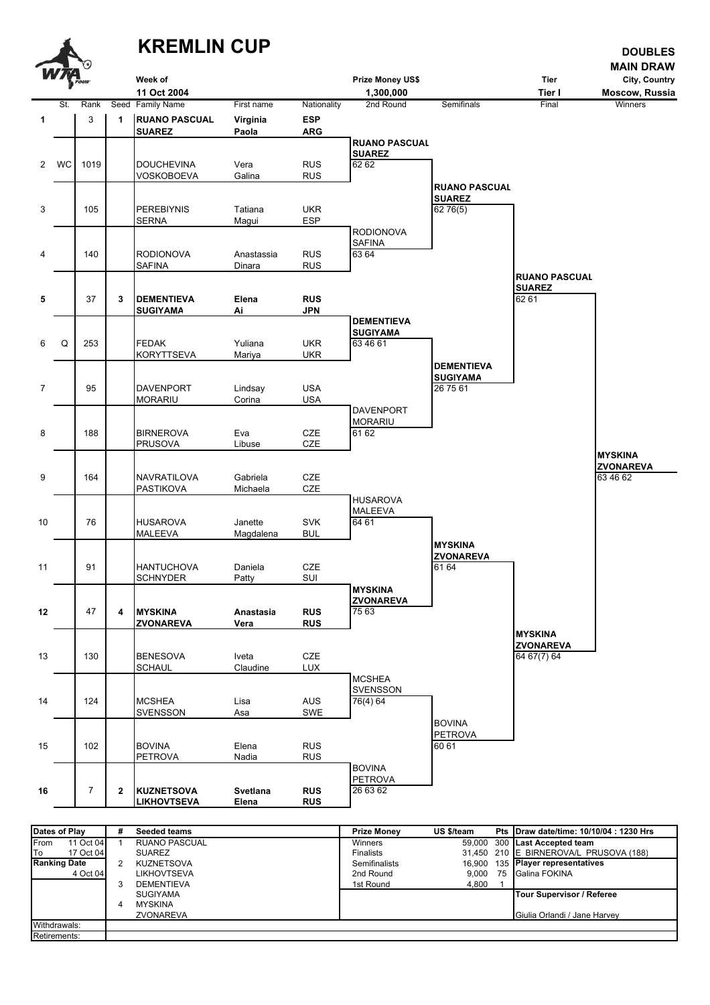

| Dates of Play             | # | <b>Seeded teams</b>  | <b>Prize Money</b> | US \$/team | Pts IDraw date/time: 10/10/04 : 1230 Hrs |
|---------------------------|---|----------------------|--------------------|------------|------------------------------------------|
| 11 Oct 04<br><b>IFrom</b> |   | <b>RUANO PASCUAL</b> | <b>Winners</b>     |            | 59.000 300 Last Accepted team            |
| lTo<br>17 Oct 04          |   | <b>SUAREZ</b>        | <b>Finalists</b>   |            | 31,450 210 E BIRNEROVA/L PRUSOVA (188)   |
| <b>Ranking Date</b>       |   | <b>KUZNETSOVA</b>    | Semifinalists      |            | 16.900 135 Player representatives        |
| 4 Oct 04                  |   | LIKHOVTSEVA          | 2nd Round          | 9.000      | 75 Galina FOKINA                         |
|                           |   | <b>DEMENTIEVA</b>    | 1st Round          | 4.800      |                                          |
|                           |   | <b>SUGIYAMA</b>      |                    |            | <b>Tour Supervisor / Referee</b>         |
|                           |   | <b>MYSKINA</b>       |                    |            |                                          |
|                           |   | ZVONAREVA            |                    |            | Giulia Orlandi / Jane Harvey             |
| Withdrawals:              |   |                      |                    |            |                                          |
| Retirements:              |   |                      |                    |            |                                          |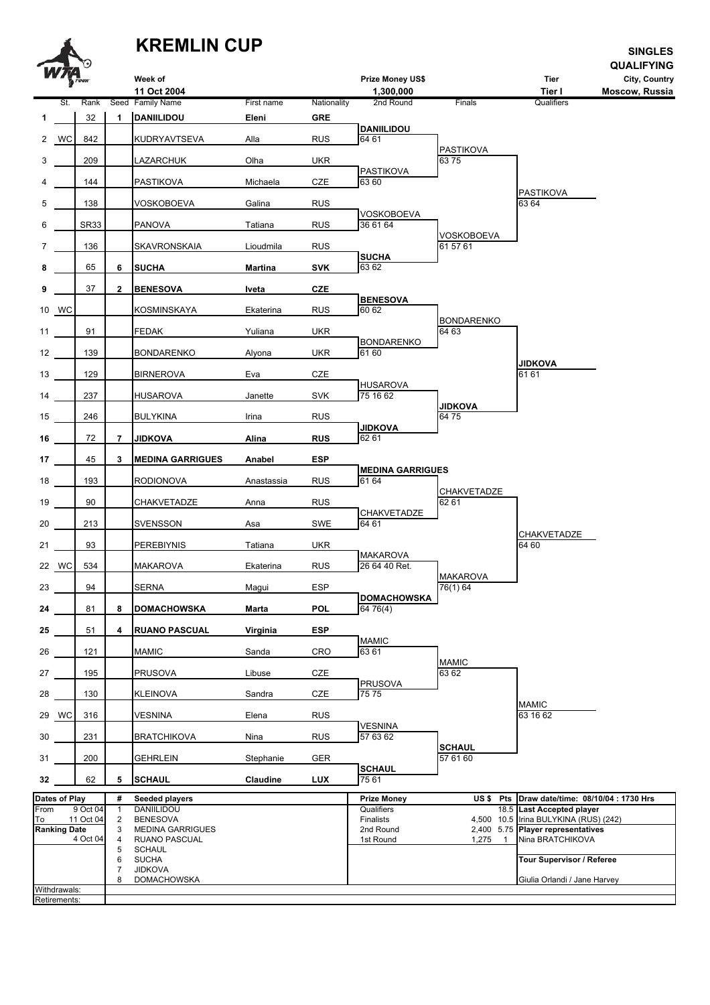## **KREMLIN CUP**

**Retirements**